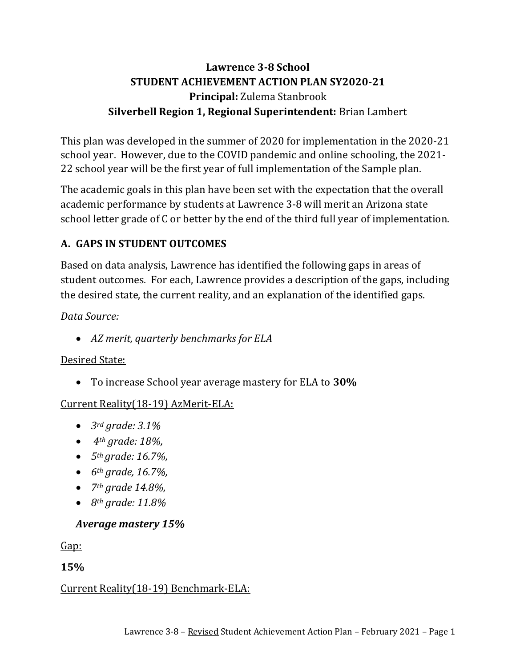# **Lawrence 3-8 School STUDENT ACHIEVEMENT ACTION PLAN SY2020-21 Principal:** Zulema Stanbrook **Silverbell Region 1, Regional Superintendent:** Brian Lambert

This plan was developed in the summer of 2020 for implementation in the 2020-21 school year. However, due to the COVID pandemic and online schooling, the 2021- 22 school year will be the first year of full implementation of the Sample plan.

The academic goals in this plan have been set with the expectation that the overall academic performance by students at Lawrence 3-8 will merit an Arizona state school letter grade of C or better by the end of the third full year of implementation.

# **A. GAPS IN STUDENT OUTCOMES**

Based on data analysis, Lawrence has identified the following gaps in areas of student outcomes. For each, Lawrence provides a description of the gaps, including the desired state, the current reality, and an explanation of the identified gaps.

### *Data Source:*

• *AZ merit, quarterly benchmarks for ELA*

# Desired State:

• To increase School year average mastery for ELA to **30%**

# Current Reality(18-19) AzMerit-ELA:

- *3rd grade: 3.1%*
- *4th grade: 18%,*
- *5th grade: 16.7%,*
- *6th grade, 16.7%,*
- *7th grade 14.8%,*
- *8th grade: 11.8%*

# *Average mastery 15%*

Gap:

**15%**

### Current Reality(18-19) Benchmark-ELA: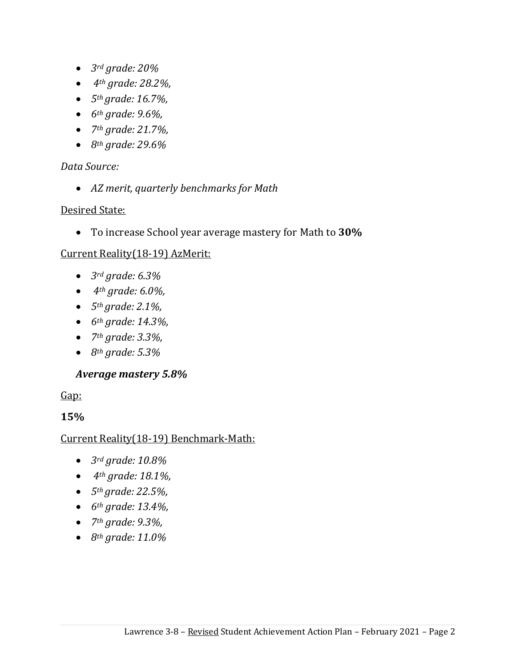- *3rd grade: 20%*
- *4th grade: 28.2%,*
- *5th grade: 16.7%,*
- *6th grade: 9.6%,*
- *7th grade: 21.7%,*
- *8th grade: 29.6%*

#### *Data Source:*

• *AZ merit, quarterly benchmarks for Math* 

#### Desired State:

• To increase School year average mastery for Math to **30%**

#### Current Reality(18-19) AzMerit:

- *3rd grade: 6.3%*
- *4th grade: 6.0%,*
- *5th grade: 2.1%,*
- *6th grade: 14.3%,*
- *7th grade: 3.3%,*
- *8th grade: 5.3%*

#### *Average mastery 5.8%*

Gap:

#### **15%**

#### Current Reality(18-19) Benchmark-Math:

- *3rd grade: 10.8%*
- *4th grade: 18.1%,*
- *5th grade: 22.5%,*
- *6th grade: 13.4%,*
- *7th grade: 9.3%,*
- *8th grade: 11.0%*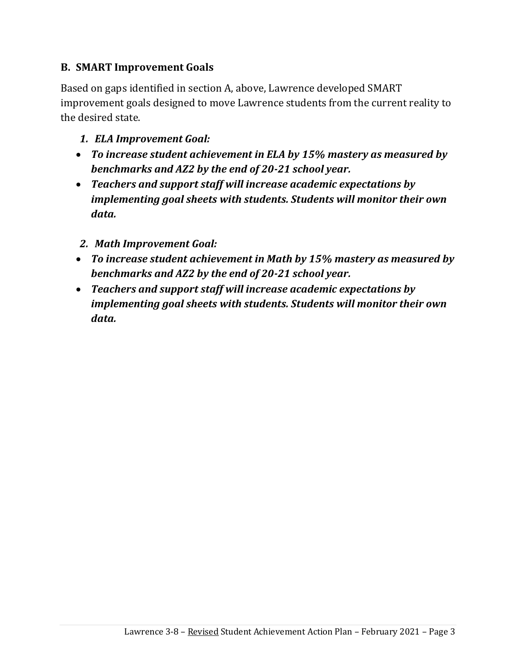### **B. SMART Improvement Goals**

Based on gaps identified in section A, above, Lawrence developed SMART improvement goals designed to move Lawrence students from the current reality to the desired state.

- *1. ELA Improvement Goal:*
- *To increase student achievement in ELA by 15% mastery as measured by benchmarks and AZ2 by the end of 20-21 school year.*
- *Teachers and support staff will increase academic expectations by implementing goal sheets with students. Students will monitor their own data.*
- *2. Math Improvement Goal:*
- *To increase student achievement in Math by 15% mastery as measured by benchmarks and AZ2 by the end of 20-21 school year.*
- *Teachers and support staff will increase academic expectations by implementing goal sheets with students. Students will monitor their own data.*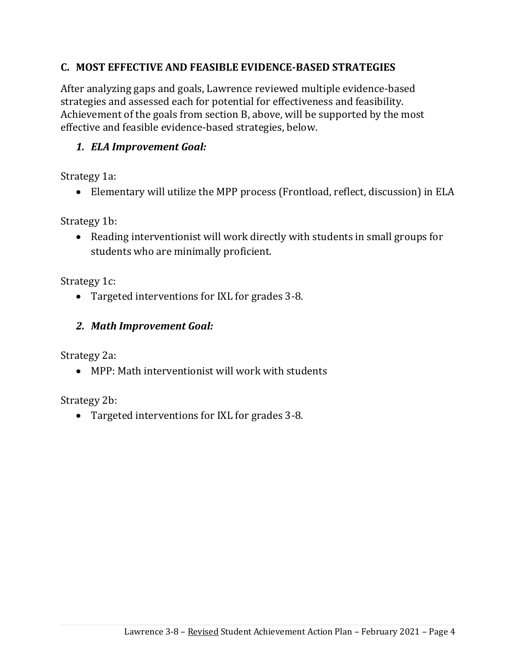### **C. MOST EFFECTIVE AND FEASIBLE EVIDENCE-BASED STRATEGIES**

After analyzing gaps and goals, Lawrence reviewed multiple evidence-based strategies and assessed each for potential for effectiveness and feasibility. Achievement of the goals from section B, above, will be supported by the most effective and feasible evidence-based strategies, below.

### *1. ELA Improvement Goal:*

Strategy 1a:

• Elementary will utilize the MPP process (Frontload, reflect, discussion) in ELA

Strategy 1b:

• Reading interventionist will work directly with students in small groups for students who are minimally proficient.

Strategy 1c:

• Targeted interventions for IXL for grades 3-8.

### *2. Math Improvement Goal:*

Strategy 2a:

• MPP: Math interventionist will work with students

Strategy 2b:

• Targeted interventions for IXL for grades 3-8.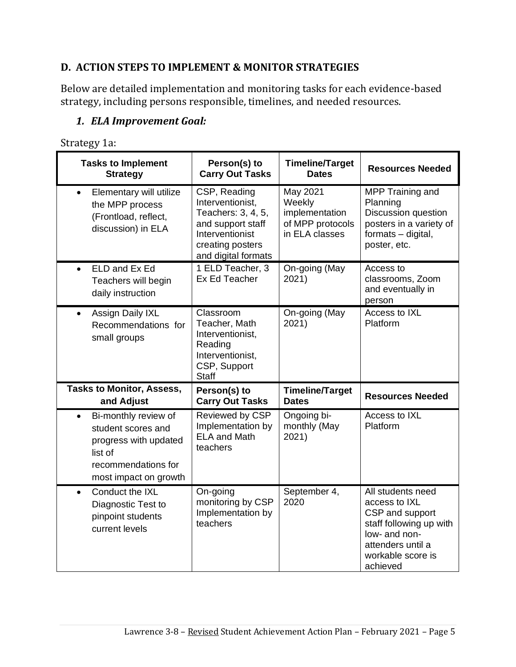### **D. ACTION STEPS TO IMPLEMENT & MONITOR STRATEGIES**

Below are detailed implementation and monitoring tasks for each evidence-based strategy, including persons responsible, timelines, and needed resources.

### *1. ELA Improvement Goal:*

Strategy 1a:

| <b>Tasks to Implement</b><br><b>Strategy</b>                                                                                                | Person(s) to<br><b>Carry Out Tasks</b>                                                                                                    | <b>Timeline/Target</b><br><b>Dates</b>                                     | <b>Resources Needed</b>                                                                                                     |
|---------------------------------------------------------------------------------------------------------------------------------------------|-------------------------------------------------------------------------------------------------------------------------------------------|----------------------------------------------------------------------------|-----------------------------------------------------------------------------------------------------------------------------|
| Elementary will utilize<br>$\bullet$<br>the MPP process<br>(Frontload, reflect,<br>discussion) in ELA                                       | CSP, Reading<br>Interventionist,<br>Teachers: 3, 4, 5,<br>and support staff<br>Interventionist<br>creating posters<br>and digital formats | May 2021<br>Weekly<br>implementation<br>of MPP protocols<br>in ELA classes | MPP Training and<br>Planning<br><b>Discussion question</b><br>posters in a variety of<br>formats - digital,<br>poster, etc. |
| ELD and Ex Ed<br>$\bullet$<br>Teachers will begin<br>daily instruction                                                                      | 1 ELD Teacher, 3<br>Ex Ed Teacher                                                                                                         | On-going (May<br>2021)                                                     | Access to<br>classrooms, Zoom<br>and eventually in<br>person                                                                |
| Assign Daily IXL<br>$\bullet$<br>Recommendations for<br>small groups                                                                        | Classroom<br>Teacher, Math<br>Interventionist,<br>Reading<br>Interventionist,<br>CSP, Support                                             | On-going (May<br>2021)                                                     | Access to IXL<br>Platform                                                                                                   |
|                                                                                                                                             | <b>Staff</b>                                                                                                                              |                                                                            |                                                                                                                             |
| <b>Tasks to Monitor, Assess,</b><br>and Adjust                                                                                              | Person(s) to<br><b>Carry Out Tasks</b>                                                                                                    | <b>Timeline/Target</b><br><b>Dates</b>                                     | <b>Resources Needed</b>                                                                                                     |
| Bi-monthly review of<br>$\bullet$<br>student scores and<br>progress with updated<br>list of<br>recommendations for<br>most impact on growth | Reviewed by CSP<br>Implementation by<br><b>ELA and Math</b><br>teachers                                                                   | Ongoing bi-<br>monthly (May<br>2021)                                       | Access to IXL<br>Platform                                                                                                   |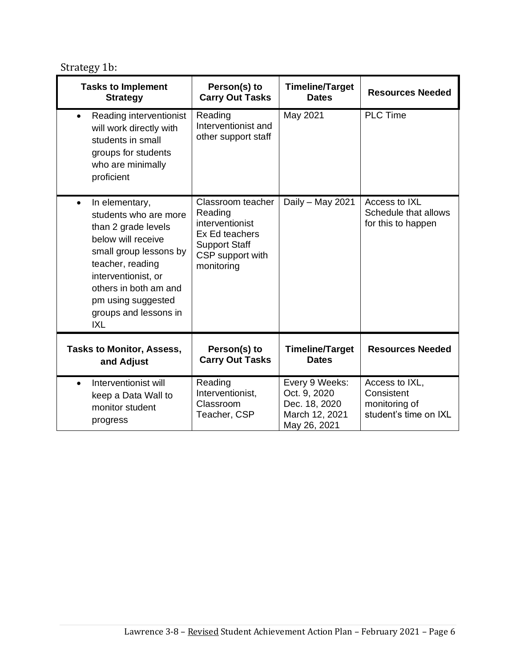Strategy 1b:

| <b>Tasks to Implement</b><br><b>Strategy</b>                                                                                                                                                                                                          | Person(s) to<br><b>Carry Out Tasks</b>                                                                                      | <b>Timeline/Target</b><br><b>Dates</b>                                            | <b>Resources Needed</b>                                                |
|-------------------------------------------------------------------------------------------------------------------------------------------------------------------------------------------------------------------------------------------------------|-----------------------------------------------------------------------------------------------------------------------------|-----------------------------------------------------------------------------------|------------------------------------------------------------------------|
| Reading interventionist<br>$\bullet$<br>will work directly with<br>students in small<br>groups for students<br>who are minimally<br>proficient                                                                                                        | Reading<br>Interventionist and<br>other support staff                                                                       | May 2021                                                                          | <b>PLC Time</b>                                                        |
| In elementary,<br>$\bullet$<br>students who are more<br>than 2 grade levels<br>below will receive<br>small group lessons by<br>teacher, reading<br>interventionist, or<br>others in both am and<br>pm using suggested<br>groups and lessons in<br>IXL | Classroom teacher<br>Reading<br>interventionist<br>Ex Ed teachers<br><b>Support Staff</b><br>CSP support with<br>monitoring | Daily - May 2021                                                                  | Access to IXL<br>Schedule that allows<br>for this to happen            |
| <b>Tasks to Monitor, Assess,</b><br>and Adjust                                                                                                                                                                                                        | Person(s) to<br><b>Carry Out Tasks</b>                                                                                      | <b>Timeline/Target</b><br><b>Dates</b>                                            | <b>Resources Needed</b>                                                |
| Interventionist will<br>$\bullet$<br>keep a Data Wall to<br>monitor student<br>progress                                                                                                                                                               | Reading<br>Interventionist,<br>Classroom<br>Teacher, CSP                                                                    | Every 9 Weeks:<br>Oct. 9, 2020<br>Dec. 18, 2020<br>March 12, 2021<br>May 26, 2021 | Access to IXL,<br>Consistent<br>monitoring of<br>student's time on IXL |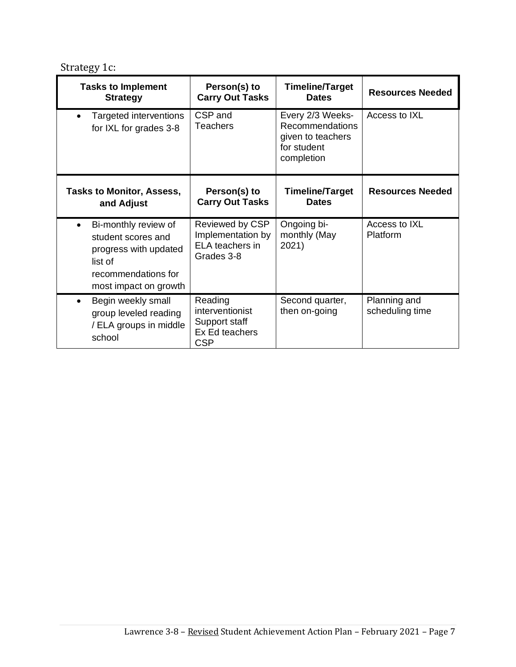Strategy 1c:

| <b>Tasks to Implement</b><br><b>Strategy</b>                                                                                   | Person(s) to<br><b>Carry Out Tasks</b>                                             | <b>Timeline/Target</b><br><b>Dates</b>                                                       | <b>Resources Needed</b>         |
|--------------------------------------------------------------------------------------------------------------------------------|------------------------------------------------------------------------------------|----------------------------------------------------------------------------------------------|---------------------------------|
| Targeted interventions<br>for IXL for grades 3-8                                                                               | CSP and<br><b>Teachers</b>                                                         | Every 2/3 Weeks-<br><b>Recommendations</b><br>given to teachers<br>for student<br>completion | Access to IXL                   |
| <b>Tasks to Monitor, Assess,</b><br>and Adjust                                                                                 | Person(s) to<br><b>Carry Out Tasks</b>                                             | <b>Timeline/Target</b><br><b>Dates</b>                                                       | <b>Resources Needed</b>         |
| Bi-monthly review of<br>student scores and<br>progress with updated<br>list of<br>recommendations for<br>most impact on growth | Reviewed by CSP<br>Implementation by<br>ELA teachers in<br>Grades 3-8              | Ongoing bi-<br>monthly (May<br>2021)                                                         | Access to IXL<br>Platform       |
| Begin weekly small<br>$\bullet$<br>group leveled reading<br>/ ELA groups in middle<br>school                                   | Reading<br><i>interventionist</i><br>Support staff<br>Ex Ed teachers<br><b>CSP</b> | Second quarter,<br>then on-going                                                             | Planning and<br>scheduling time |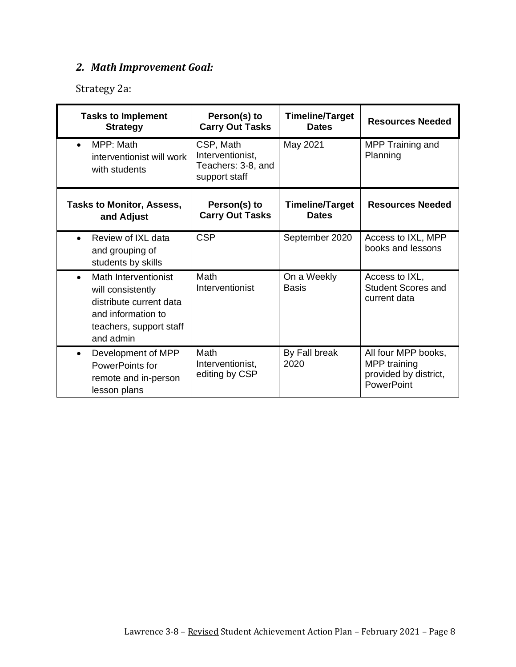# *2. Math Improvement Goal:*

Strategy 2a:

| <b>Tasks to Implement</b><br><b>Strategy</b>                                                                                                    | Person(s) to<br><b>Carry Out Tasks</b>                               | <b>Timeline/Target</b><br><b>Dates</b> | <b>Resources Needed</b>                                                    |
|-------------------------------------------------------------------------------------------------------------------------------------------------|----------------------------------------------------------------------|----------------------------------------|----------------------------------------------------------------------------|
| MPP: Math<br>$\bullet$<br>interventionist will work<br>with students                                                                            | CSP, Math<br>Interventionist,<br>Teachers: 3-8, and<br>support staff | May 2021                               | MPP Training and<br>Planning                                               |
| <b>Tasks to Monitor, Assess,</b><br>and Adjust                                                                                                  | Person(s) to<br><b>Carry Out Tasks</b>                               | <b>Timeline/Target</b><br><b>Dates</b> | <b>Resources Needed</b>                                                    |
| Review of IXL data<br>and grouping of<br>students by skills                                                                                     | <b>CSP</b>                                                           | September 2020                         | Access to IXL, MPP<br>books and lessons                                    |
| Math Interventionist<br>$\bullet$<br>will consistently<br>distribute current data<br>and information to<br>teachers, support staff<br>and admin | Math<br>Interventionist                                              | On a Weekly<br><b>Basis</b>            | Access to IXL,<br><b>Student Scores and</b><br>current data                |
| Development of MPP<br>$\bullet$<br>PowerPoints for<br>remote and in-person<br>lesson plans                                                      | Math<br>Interventionist,<br>editing by CSP                           | By Fall break<br>2020                  | All four MPP books,<br>MPP training<br>provided by district,<br>PowerPoint |